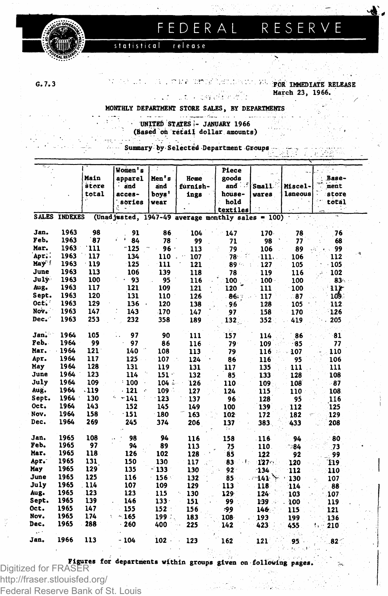

#### FEDERAL RESERVE

release statistical

 $G.7.3$ 

FOR IMMEDIATE RELEASE March 23, 1966.

MONTHLY DEPARTMENT STORE SALES, BY DEPARTMENTS

∵un

navçeka e 1967.

UNITED STATES - JANUARY 1966 (Based on retail dollar amounts)

Summary by Selected Department Groups

|            |                      |       | Women's       |         |                                         | Piece       |         |         |       |
|------------|----------------------|-------|---------------|---------|-----------------------------------------|-------------|---------|---------|-------|
|            |                      | Main  | apparel       | Men's   | Home                                    | goods       |         |         | Base- |
|            |                      | store | and           | and     | furnish-                                | and i       | Small.  | Miscel- | ment  |
|            |                      | total | acces-        | boys'   | ings                                    | house-      | wares   | laneous | store |
|            |                      |       | sories        | wear    |                                         | hold        |         |         | total |
|            |                      |       |               |         |                                         | textiles    |         |         | -19   |
|            | <b>SALES INDEXES</b> |       | (Unad justed, |         | 1947-49 average monthly sales = $100$ ) |             |         |         |       |
| Jan.       | 1963                 | 98    | 91            | 86      | 104                                     | 147         | 170.    | 78      | 76    |
| Feb.       | 1963                 | 87    | ŕ.<br>84      | 78      | 99                                      | 71          | 98      | 77      | 68    |
| Mar.       | 1963                 | 111   | $-125$        | $96 -$  | 113                                     | 79          | 106     | 89      | 99    |
| Apr        | 1963                 | 117   | 134           | 110     | 107                                     | 78          | $-111.$ | 106     | 112   |
| May !      | 1963                 | 119   | 125           | 111     | 121                                     | 89 %        | 127     | 105     | 105   |
| June       | 1963                 | 113   | 106           | 139     | 118                                     | 78          | 119     | 116     | 102   |
| July       | 1963                 | 100   | - 93          | 95      | 116                                     | 100         | $100 -$ | 100     | 83    |
| Aug.       | 1963                 | 117   | 121           | 109     | 121                                     | 120         | 111     | 100     | 111   |
| Sept.      | 1963                 | 120   | 131           | 110     | 126                                     | 86.7        | 117     | .87     | 109.  |
| Oct.       | 1963                 | 129   | 136<br>$\sim$ | 120     | 138                                     | .96         | 128     | 105     | 112   |
| Nov.       | 1963                 | 147   | 143           | 170     | 147                                     | 97          | 158     | 170     | 126   |
| Dec.       | 1963                 | 253   | 232           | 358     | 189                                     | 132         | 352     | 419     | 205   |
| Jan.       | 1964                 | 105   | 97            | 90      | 111                                     | 157         | 114     | 86      | 81    |
| Feb.       | 1964                 | 99    | 97            | 86      | 116                                     | $79 -$      | 109     | 85      | 77    |
| Mar.       | $-1964$              | 121   | 140           | 108     | 113                                     | 79          | 116     | 107     | 110   |
| Apr.       | 1964                 | 117   | 125           | 107     | 124<br>оX.                              | 86          | 116     | 95      | 106   |
| May        | 1964                 | 128   | 131           | 119     | 131                                     | 117         | 135     | 111     | 111   |
| June       | 1964                 | 123   | 114           | $151 -$ | 132                                     | 85          | 133     | 128     | 108   |
| July       | 1964                 | 109   | 100           | $104 -$ | 126                                     | 110         | 109     | 108     | - 87  |
| Aug.       | 1964                 | . 119 | - 121<br>é.   | 109     | 127                                     | 124         | 115     | 110     | 108   |
| Sept.      | 1964                 | 130   | - 141         | 123     | 137                                     | 96          | 128     | 95      | 116   |
| Oct.       | 1964                 | 143   | 152           | 145     | 149                                     | 100         | 139     | 112     | 125   |
| Nov.       | 1964                 | 158   | $-151$        | 180     | 163                                     | 102         | 172     | 182     | 129   |
| Dec.       | 1964                 | 269   | 245           | 374     | 206                                     | 137         | 383.    | 433     | 208   |
| Jan.       | 1965                 | 108   | 98            | 94      | 116                                     | 158         | 116     | 94      | 80    |
| Feb.       | 1965                 | 97    | 94            | 89      | 113                                     | 75          | 110.    | 184≏    | 73    |
| Mar.       | 1965                 | 118   | 126           | 102     | 128                                     | 85          | 122     | 92      | 99    |
| Apr.       | 1965                 | 131   | 150           | 130     | 117                                     | 83<br>- 1 - | 127.7   | 120     | 119   |
| May        | 1965                 | 129   | 135           | - 133   | 130                                     | $92 -$      | $-134$  | 112     | 110   |
| June       | 1965                 | 125   | 116           | $156 -$ | 132                                     | 85.         | 141     | 130     | 107   |
| July       | 1965                 | . 114 | 107           | 109     | 129                                     | 113         | 118     | 114     | 88    |
| Aug.       | 1965                 | 123   | 123           | 115     | 130                                     | $129 -$     | 124     | 103     | 107   |
| Sept.      | 1965                 | 139   | 146           | 133.    | 151                                     | 99          | $139 -$ | 100     | 119   |
| Oct.       | 1965                 | 147   | 155           | 152     | 156                                     | وو.         | 146.    | 115     | 121   |
| Nov.       | 1965                 | 174   | $-.165$       | 199.7   | 183                                     | 108         | 193     | 199     | 136   |
| Dec.<br>z. | 1965                 | 288   | 260           | 400     | 225                                     | 142         | 423     | 455     | 210   |
| Jan.       | 1966                 | 113   | $-104$        | $102 -$ | 123                                     | 162         | 121     | 95      | 82<   |

**Figures for departments within groups given on following pages**<br>Digitized for FRASER

http://fraser.stlouisfed.org/

Federal Reserve Bank of St. Louis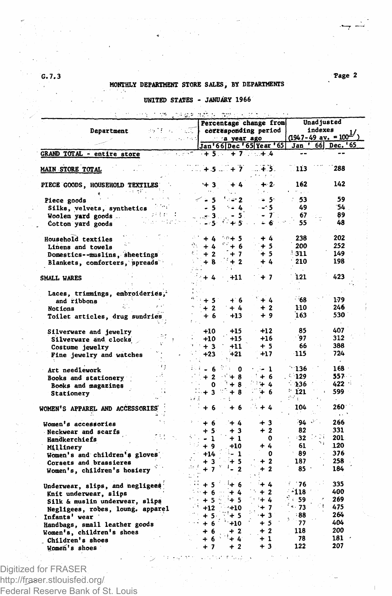# MONTHLY DEPARTMENT STORE SALES, BY DEPARTMENTS

### UNITED STATES - JANUARY 1966

|                                         |                 |             |                             | Percentage change from                               | Unad justed<br>indexes |                                                                             |  |
|-----------------------------------------|-----------------|-------------|-----------------------------|------------------------------------------------------|------------------------|-----------------------------------------------------------------------------|--|
| Department<br>法保护案 人名尼                  |                 |             |                             | $\Box$ corresponding period                          |                        | $\frac{(1947-49 \text{ av.} - 100^{17})}{(1947-49 \text{ av.} - 100^{17})}$ |  |
|                                         |                 |             | a year ago                  |                                                      |                        | Jan ' 66 Dec. '65                                                           |  |
| GRAND TOTAL - entire store<br>ತುಪಾರ್    |                 |             |                             | Jan'66 Dec '65 Year '65<br>- + 5 : > + 7 : - : + 4 : |                        |                                                                             |  |
|                                         |                 |             |                             |                                                      |                        |                                                                             |  |
| MAIN STORE TOTAL                        |                 |             | $\sqrt{+5}$ $+7$            | - 15.                                                | . 113                  | 288                                                                         |  |
| PIECE GOODS, HOUSEHOLD TEXTILES         |                 | $+3$        | $+4$<br>ta an               | $+2.$<br>De Lo                                       | 162<br><b>Program</b>  | 142                                                                         |  |
| Piece goods                             | < - 5           |             | $1.4 - 2.$                  | 5۰ ه                                                 | 53                     | 59                                                                          |  |
| Silks, velvets, synthetics              |                 | - 5         | $2.4 - 4.1$                 | - - 5                                                | 49                     | -54                                                                         |  |
| 1.794 <sub>0</sub><br>Woolen yard goods | u luer 3 lills. |             | $-5$                        | $-7$ :                                               | 67                     | 89                                                                          |  |
| Allan Highl<br>Cotton yard goods        |                 | - 51        | いやきく                        | - 6                                                  | 55                     | 48                                                                          |  |
| Household textiles                      |                 | $+ 4$       | $-0+5$                      | $+4$                                                 | 238                    | 202                                                                         |  |
| Linens and towels                       |                 | $+4$        | $\mathbf{C}^2 + \mathbf{6}$ | $+5$                                                 | 200                    | 252                                                                         |  |
| Domestics--muslins, sheetings           |                 | $+2$        | $+7$                        | $+5$                                                 | <b>311.</b>            | 149                                                                         |  |
| Blankets, comforters, spreads           |                 | + 8         | $+2$                        | $+4$                                                 | 210                    | 198                                                                         |  |
|                                         |                 |             |                             |                                                      |                        |                                                                             |  |
| SMALL WARES                             |                 | $+4$        | +11                         | + 7                                                  | 121                    | 423                                                                         |  |
|                                         |                 |             |                             |                                                      |                        |                                                                             |  |
| Laces, trimmings, embroideries,         |                 |             |                             |                                                      |                        |                                                                             |  |
| and ribbons                             |                 | $+5$        | $+ 6$                       | $+4$                                                 | ਂ 68                   | 179                                                                         |  |
| Notions                                 |                 | $+2$        | $+4$                        | $+2$                                                 | 110                    | 246                                                                         |  |
| Toilet articles, drug sundries          |                 | + 6         | +13                         | $+9$                                                 | 163                    | 530                                                                         |  |
| Silverware and jewelry                  |                 | +10         | $+15$                       | $+12$                                                | 85                     | 407                                                                         |  |
| Silverware and clocks                   |                 | +10         | $+15$                       | $+16$                                                | - 97                   | 312                                                                         |  |
| Costume jewelry                         |                 | $+3$        | $+11$                       | $+5$                                                 | 66                     | 388                                                                         |  |
| Fine jewelry and watches                |                 | $+23$       | $+21$                       | $+17$                                                | -115                   | 724                                                                         |  |
|                                         |                 | - 6         | $\cdot$ 0                   | - 1                                                  | $-136$                 | $168 -$                                                                     |  |
| Art needlework                          |                 | $+2$        | $\sim +8$                   | $+6$                                                 | $-129$                 | 557 -                                                                       |  |
| Books and stationery                    |                 | $\mathbf 0$ | $+8$                        | - 44                                                 | $-136$                 | 422                                                                         |  |
| Books and magazines<br>Stationery       |                 | $+3$        | $+8$                        | + 6                                                  | $^{\circ}$ 121         | 599                                                                         |  |
|                                         |                 |             |                             |                                                      | nne.                   |                                                                             |  |
| <b>WOMEN'S APPAREL AND ACCESSORIES</b>  |                 | + 6         | + 6                         | $+4$                                                 | 104                    | $260^\circ$<br>$\cdots$                                                     |  |
| Women's accessories                     |                 | $+6$        | $+4$                        | $+3$                                                 | ∵د و94                 | 266                                                                         |  |
| Neckwear and scarfs                     |                 | $+5$        | $+3$                        | $+2$                                                 | 82                     | 331                                                                         |  |
| Handkerchiefs                           |                 | - 1         | + 1                         | 0                                                    | ∘32 ੰ                  | 201.                                                                        |  |
| Millinery                               |                 | $+9$        | $+10$                       | + 4                                                  | 61                     | 120                                                                         |  |
| Women's and children's gloves           |                 | $+14$       | $-1$                        | 0                                                    | - 89                   | 376                                                                         |  |
| Corsets and brassieres                  |                 | + 3         | $+5$                        | $+2$                                                 | 187                    | 258                                                                         |  |
| Women's, children's hosiery             |                 | $+7$        | $-2$                        | $+2$                                                 | 85                     | 184                                                                         |  |
| Underwear, slips, and negligees         |                 | $+5$        | $+6$                        | 44                                                   | - 76                   | 335                                                                         |  |
| Knit underwear, slips                   | $+6$            |             | $+4$                        | $+2$                                                 | - 118                  | 400                                                                         |  |
| Silk & muslin underwear, slips          |                 | $+5$        | $+5$                        | $+4$                                                 | 59ء ت                  | 269                                                                         |  |
| Negligees, robes, loung. apparel        |                 | $+12$       | $+10$                       | $+7$                                                 | 4.73                   | 475                                                                         |  |
| Infants' wear                           |                 | $+5$        | $+5$                        | $+3$                                                 | : 88                   | 264                                                                         |  |
| Handbags, small leather goods           |                 | $+6$        | $+10$                       | $+5$                                                 | - 77                   | 404                                                                         |  |
| Women's, children's shoes               |                 | + 6         | $+2$                        | $+2$                                                 | 118                    | 200                                                                         |  |
| Children's shoes                        |                 | + 6         | $+4$                        | $+1$                                                 | 78                     | 181                                                                         |  |
| Women's shoes                           |                 | $+7$        | $+2$                        | $+3$                                                 | 122                    | 207                                                                         |  |

Digitized for FRASER http://fraser.stlouisfed.org/ Federal Reserve Bank of St. Louis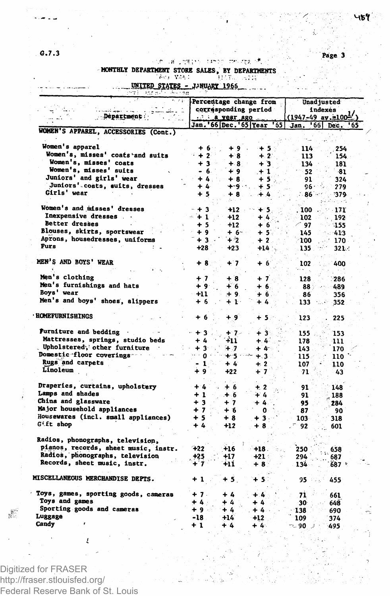પાક9ં

G.7.3 Page 3

## MONTHLY DEPARTMENT STORE SALES, BY DEPARTMENTS

|                                          |           |                      | Percentage change from             |                 |                     |
|------------------------------------------|-----------|----------------------|------------------------------------|-----------------|---------------------|
|                                          |           | corresponding period | Unad justed<br>indexes             |                 |                     |
| Department                               |           | $2.4$ a year ago     | $(1947-49$ av.=100 <sup>1/</sup> ) |                 |                     |
|                                          |           |                      | Jan. 66 Dec. 65 Year '55           | Jan.            | $ 66 $ Dec.<br>' 65 |
| WOMEN'S APPAREL, ACCESSORIES (Cont.)     |           |                      |                                    |                 |                     |
| Women's apparel                          | + 6       |                      |                                    |                 |                     |
| Women's, misses' coats and suits         | $+2$      | +9.<br>$+8$          | ⊹ 5<br>$+2$                        | 114             | 254                 |
| Women's, misses' coats                   | $+3$      | $+8$                 | $+3$                               | 113<br>134      | 154                 |
| Women's, misses' suits                   | $-6.$     | ₽9                   | $+1$                               | 52              | 181                 |
| Juniors' and girls' wear                 | $+4.$     | $+8$                 | $+5.$                              | 91              | -81<br>324          |
| Juniors' coats, suits, dresses           | $+4$      | ∍⊦و⊶ب                | $+5$                               | 96۰             | 279                 |
| Girls' wear                              | $+5$      | $+8$                 | $+4$                               | 86.             | :379                |
| Women's and misses' dresses              |           |                      |                                    |                 |                     |
| Inexpensive dresses                      | $-+3$     | $+12$                | $+5.$                              | 100             | 171                 |
| Better dresses                           | $+1$      | $+12$                | $+4.$                              | 102             | 192                 |
| Blouses, skirts, sportswear              | $+5$      | $+12$                | $+6$                               | ີ 97            | 155                 |
|                                          | $+9$      | $+6$                 | +5.                                | 145             | -413                |
| Aprons, housedresses, uniforms<br>Furs   | $+3$      | $+2$                 | $+2$                               | -100            | 170                 |
|                                          | $+28$     | $+23$                | $+14$                              | 135             | 321.                |
| MEN'S AND BOYS' WEAR                     | $+8$      | $+7$                 | $+6$                               | 102             | 400                 |
| Men's clothing                           |           |                      |                                    |                 |                     |
|                                          | $+7$      | $+8$                 | $+7$                               | 128             | 286                 |
| Men's furnishings and hats<br>Boys' wear | $+9$      | $+6$                 | $+6.$                              | 88              | 489                 |
|                                          | $+11$     | $+9.$                | $+6$                               | 86              | 356                 |
| Men's and boys' shoes, slippers          | + 6       | $+1$ :               | $+4$                               | 133             | 352                 |
| <b>HOMEFURNISHINGS</b>                   | $+6$      | ∔ 9                  | + 5.                               | 123             | 225                 |
| Furniture and bedding                    | $+3$      | $+7-$                | ∔ 3                                | 155             | 153                 |
| Mattresses, springs, studio beds         | $+4$      | +11                  | + 4                                | 178             | 111                 |
| Upholstered, other furniture             | $+3$      | ⊱.7                  | $+4$                               | 143             | 170                 |
| Domestic floor coverings                 | $\sim$ 0. | $+5$                 | $+.3.$                             | 115             | 110                 |
| Rugs and carpets                         | - 1       | $+4$                 | $+2$                               | 107             | 110                 |
| Linoleum                                 | ∔ 9       | $+22$                | $+7$                               | -71             | 43                  |
| Draperies, curtains, upholstery          | $+4$      | $+6$                 | $+2$                               | 91              | 148                 |
| Lamps and shades                         | $+1$      | $+6$                 | + 4                                | 91              | 188                 |
| China and glassware                      | $+3$      | $+7$                 | $+4$                               | 95              | 284                 |
| Major household appliances               | $+7$      | $+6$                 | 0                                  | 87              | 90                  |
| Housewares (incl. small appliances)      | $+5$      | $+8$                 | $+3$                               | 103             | 318                 |
| <b>Gift shop</b>                         | $+4$      | $+12$                | + 8                                | 92              | 601                 |
| Radios, phonographs, television,         |           |                      |                                    |                 |                     |
| pianos, records, sheet music, instr.     | $+22$     | $+16$                | $+18.$                             | 250             |                     |
| Radios, phonographs, television          | +25       | +17                  | $+21$                              | 294             | 658<br>687          |
| Records, sheet music, instr.             | + 7       | +11                  | $+8$                               | 134             | 687 *               |
| MISCELLANEOUS MERCHANDISE DEPTS.         | $+1$      | $+5.$                | + 5                                | 95              | 455                 |
| Toys, games, sporting goods, cameras     | $+7.$     | $+4$                 | $+4$                               | 71              | 661                 |
| Toys and games                           | +4:       | $+4$                 | $+4$                               | 30 <sup>°</sup> | 648                 |
| Sporting goods and cameras               | $+9$      | $+4$                 | $+4$                               | 138             |                     |
| Luggage                                  | -18       | $+14$                | $+12$                              | 109             | 690<br>374          |
| Candy                                    | $+1$      | $+4$                 | $+4.$                              | $-90$           | 495                 |

Digitized for FRASER http://fraser.stlouisfed.org/ Federal Reserve Bank of St. Louis

 $\mathbb{R}^2$